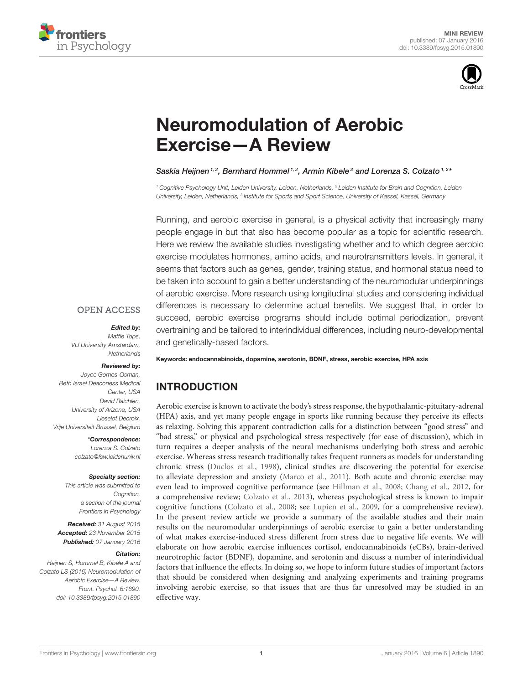



# [Neuromodulation of Aerobic](http://journal.frontiersin.org/article/10.3389/fpsyg.2015.01890/abstract) Exercise—A Review

### [Saskia Heijnen](http://loop.frontiersin.org/people/268998/overview)<sup>1,2</sup>, [Bernhard Hommel](http://loop.frontiersin.org/people/7950/overview)<sup>1,2</sup>, [Armin Kibele](http://loop.frontiersin.org/people/298481/overview)<sup>3</sup> and [Lorenza S. Colzato](http://loop.frontiersin.org/people/7934/overview)<sup>1,2</sup>\*

*<sup>1</sup> Cognitive Psychology Unit, Leiden University, Leiden, Netherlands, <sup>2</sup> Leiden Institute for Brain and Cognition, Leiden* University, Leiden, Netherlands, <sup>3</sup> Institute for Sports and Sport Science, University of Kassel, Kassel, Germany

Running, and aerobic exercise in general, is a physical activity that increasingly many people engage in but that also has become popular as a topic for scientific research. Here we review the available studies investigating whether and to which degree aerobic exercise modulates hormones, amino acids, and neurotransmitters levels. In general, it seems that factors such as genes, gender, training status, and hormonal status need to be taken into account to gain a better understanding of the neuromodular underpinnings of aerobic exercise. More research using longitudinal studies and considering individual differences is necessary to determine actual benefits. We suggest that, in order to succeed, aerobic exercise programs should include optimal periodization, prevent overtraining and be tailored to interindividual differences, including neuro-developmental and genetically-based factors.

### **OPEN ACCESS**

### Edited by:

*Mattie Tops, VU University Amsterdam, Netherlands*

# Reviewed by:

*Joyce Gomes-Osman, Beth Israel Deaconess Medical Center, USA David Raichlen, University of Arizona, USA Lieselot Decroix, Vrije Universiteit Brussel, Belgium*

> \*Correspondence: *Lorenza S. Colzato [colzato@fsw.leidenuniv.nl](mailto:colzato@fsw.leidenuniv.nl)*

#### Specialty section:

*This article was submitted to Cognition, a section of the journal Frontiers in Psychology*

Received: *31 August 2015* Accepted: *23 November 2015* Published: *07 January 2016*

#### Citation:

*Heijnen S, Hommel B, Kibele A and Colzato LS (2016) Neuromodulation of Aerobic Exercise—A Review. Front. Psychol. 6:1890. doi: [10.3389/fpsyg.2015.01890](http://dx.doi.org/10.3389/fpsyg.2015.01890)* Keywords: endocannabinoids, dopamine, serotonin, BDNF, stress, aerobic exercise, HPA axis

# INTRODUCTION

Aerobic exercise is known to activate the body's stress response, the hypothalamic-pituitary-adrenal (HPA) axis, and yet many people engage in sports like running because they perceive its effects as relaxing. Solving this apparent contradiction calls for a distinction between "good stress" and "bad stress," or physical and psychological stress respectively (for ease of discussion), which in turn requires a deeper analysis of the neural mechanisms underlying both stress and aerobic exercise. Whereas stress research traditionally takes frequent runners as models for understanding chronic stress [\(Duclos et al., 1998\)](#page-4-0), clinical studies are discovering the potential for exercise to alleviate depression and anxiety [\(Marco et al., 2011\)](#page-4-1). Both acute and chronic exercise may even lead to improved cognitive performance (see [Hillman et al., 2008;](#page-4-2) [Chang et al., 2012,](#page-4-3) for a comprehensive review; [Colzato et al., 2013\)](#page-4-4), whereas psychological stress is known to impair cognitive functions [\(Colzato et al., 2008;](#page-4-5) see [Lupien et al., 2009,](#page-4-6) for a comprehensive review). In the present review article we provide a summary of the available studies and their main results on the neuromodular underpinnings of aerobic exercise to gain a better understanding of what makes exercise-induced stress different from stress due to negative life events. We will elaborate on how aerobic exercise influences cortisol, endocannabinoids (eCBs), brain-derived neurotrophic factor (BDNF), dopamine, and serotonin and discuss a number of interindividual factors that influence the effects. In doing so, we hope to inform future studies of important factors that should be considered when designing and analyzing experiments and training programs involving aerobic exercise, so that issues that are thus far unresolved may be studied in an effective way.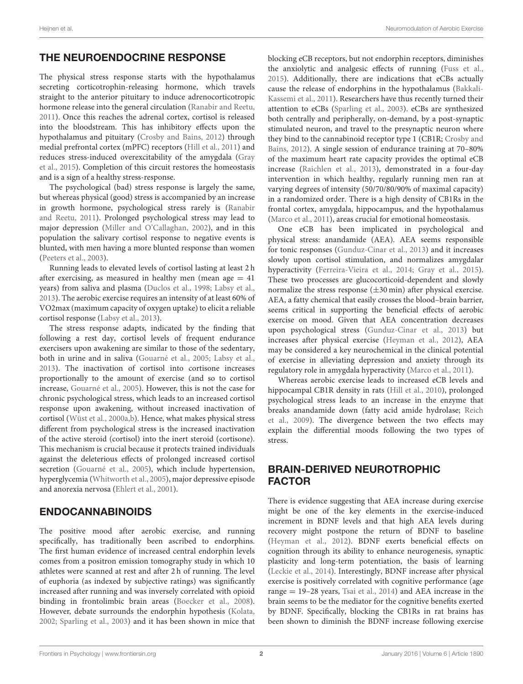# THE NEUROENDOCRINE RESPONSE

The physical stress response starts with the hypothalamus secreting corticotrophin-releasing hormone, which travels straight to the anterior pituitary to induce adrenocorticotropic hormone release into the general circulation [\(Ranabir and Reetu,](#page-5-0) [2011\)](#page-5-0). Once this reaches the adrenal cortex, cortisol is released into the bloodstream. This has inhibitory effects upon the hypothalamus and pituitary [\(Crosby and Bains, 2012\)](#page-4-7) through medial prefrontal cortex (mPFC) receptors [\(Hill et al., 2011\)](#page-4-8) and reduces stress-induced overexcitability of the amygdala (Gray et al., [2015\)](#page-4-9). Completion of this circuit restores the homeostasis and is a sign of a healthy stress-response.

The psychological (bad) stress response is largely the same, but whereas physical (good) stress is accompanied by an increase in growth hormone, psychological stress rarely is (Ranabir and Reetu, [2011\)](#page-5-0). Prolonged psychological stress may lead to major depression [\(Miller and O'Callaghan, 2002\)](#page-5-1), and in this population the salivary cortisol response to negative events is blunted, with men having a more blunted response than women [\(Peeters et al., 2003\)](#page-5-2).

Running leads to elevated levels of cortisol lasting at least 2 h after exercising, as measured in healthy men (mean age  $= 41$ years) from saliva and plasma [\(Duclos et al., 1998;](#page-4-0) [Labsy et al.,](#page-4-10) [2013\)](#page-4-10). The aerobic exercise requires an intensity of at least 60% of VO2max (maximum capacity of oxygen uptake) to elicit a reliable cortisol response [\(Labsy et al., 2013\)](#page-4-10).

The stress response adapts, indicated by the finding that following a rest day, cortisol levels of frequent endurance exercisers upon awakening are similar to those of the sedentary, both in urine and in saliva [\(Gouarné et al., 2005;](#page-4-11) [Labsy et al.,](#page-4-10) [2013\)](#page-4-10). The inactivation of cortisol into cortisone increases proportionally to the amount of exercise (and so to cortisol increase, [Gouarné et al., 2005\)](#page-4-11). However, this is not the case for chronic psychological stress, which leads to an increased cortisol response upon awakening, without increased inactivation of cortisol [\(Wüst et al., 2000a](#page-5-3)[,b\)](#page-5-4). Hence, what makes physical stress different from psychological stress is the increased inactivation of the active steroid (cortisol) into the inert steroid (cortisone). This mechanism is crucial because it protects trained individuals against the deleterious effects of prolonged increased cortisol secretion [\(Gouarné et al., 2005\)](#page-4-11), which include hypertension, hyperglycemia [\(Whitworth et al., 2005\)](#page-5-5), major depressive episode and anorexia nervosa [\(Ehlert et al., 2001\)](#page-4-12).

# ENDOCANNABINOIDS

The positive mood after aerobic exercise, and running specifically, has traditionally been ascribed to endorphins. The first human evidence of increased central endorphin levels comes from a positron emission tomography study in which 10 athletes were scanned at rest and after 2 h of running. The level of euphoria (as indexed by subjective ratings) was significantly increased after running and was inversely correlated with opioid binding in frontolimbic brain areas [\(Boecker et al., 2008\)](#page-4-13). However, debate surrounds the endorphin hypothesis [\(Kolata,](#page-4-14) [2002;](#page-4-14) [Sparling et al., 2003\)](#page-5-6) and it has been shown in mice that blocking eCB receptors, but not endorphin receptors, diminishes the anxiolytic and analgesic effects of running [\(Fuss et al.,](#page-4-15) [2015\)](#page-4-15). Additionally, there are indications that eCBs actually cause the release of endorphins in the hypothalamus (Bakkali-Kassemi et al., [2011\)](#page-4-16). Researchers have thus recently turned their attention to eCBs [\(Sparling et al., 2003\)](#page-5-6). eCBs are synthesized both centrally and peripherally, on-demand, by a post-synaptic stimulated neuron, and travel to the presynaptic neuron where they bind to the cannabinoid receptor type 1 (CB1R; Crosby and Bains, [2012\)](#page-4-7). A single session of endurance training at 70–80% of the maximum heart rate capacity provides the optimal eCB increase [\(Raichlen et al., 2013\)](#page-5-7), demonstrated in a four-day intervention in which healthy, regularly running men ran at varying degrees of intensity (50/70/80/90% of maximal capacity) in a randomized order. There is a high density of CB1Rs in the frontal cortex, amygdala, hippocampus, and the hypothalamus [\(Marco et al., 2011\)](#page-4-1), areas crucial for emotional homeostasis.

One eCB has been implicated in psychological and physical stress: anandamide (AEA). AEA seems responsible for tonic responses [\(Gunduz-Cinar et al., 2013\)](#page-4-17) and it increases slowly upon cortisol stimulation, and normalizes amygdalar hyperactivity [\(Ferreira-Vieira et al., 2014;](#page-4-18) [Gray et al., 2015\)](#page-4-9). These two processes are glucocorticoid-dependent and slowly normalize the stress response  $(\pm 30 \text{ min})$  after physical exercise. AEA, a fatty chemical that easily crosses the blood–brain barrier, seems critical in supporting the beneficial effects of aerobic exercise on mood. Given that AEA concentration decreases upon psychological stress [\(Gunduz-Cinar et al., 2013\)](#page-4-17) but increases after physical exercise [\(Heyman et al., 2012\)](#page-4-19), AEA may be considered a key neurochemical in the clinical potential of exercise in alleviating depression and anxiety through its regulatory role in amygdala hyperactivity [\(Marco et al., 2011\)](#page-4-1).

Whereas aerobic exercise leads to increased eCB levels and hippocampal CB1R density in rats [\(Hill et al., 2010\)](#page-4-20), prolonged psychological stress leads to an increase in the enzyme that breaks anandamide down (fatty acid amide hydrolase; Reich et al., [2009\)](#page-5-8). The divergence between the two effects may explain the differential moods following the two types of stress.

# BRAIN-DERIVED NEUROTROPHIC FACTOR

There is evidence suggesting that AEA increase during exercise might be one of the key elements in the exercise-induced increment in BDNF levels and that high AEA levels during recovery might postpone the return of BDNF to baseline [\(Heyman et al., 2012\)](#page-4-19). BDNF exerts beneficial effects on cognition through its ability to enhance neurogenesis, synaptic plasticity and long-term potentiation, the basis of learning [\(Leckie et al., 2014\)](#page-4-21). Interestingly, BDNF increase after physical exercise is positively correlated with cognitive performance (age range = 19–28 years, [Tsai et al., 2014\)](#page-5-9) and AEA increase in the brain seems to be the mediator for the cognitive benefits exerted by BDNF. Specifically, blocking the CB1Rs in rat brains has been shown to diminish the BDNF increase following exercise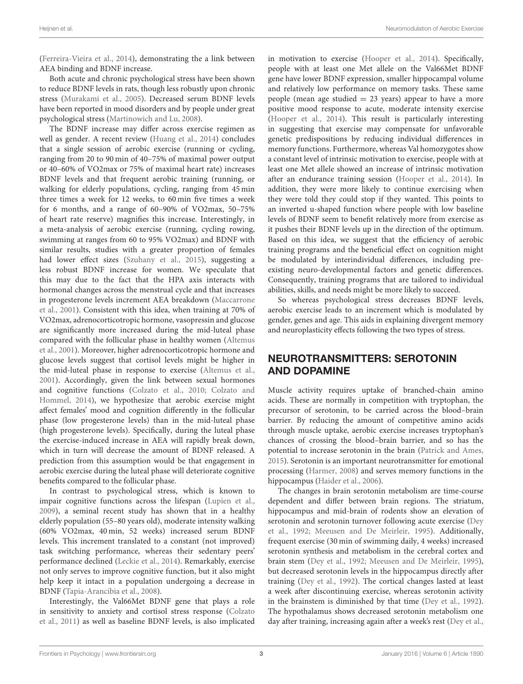[\(Ferreira-Vieira et al., 2014\)](#page-4-18), demonstrating the a link between AEA binding and BDNF increase.

Both acute and chronic psychological stress have been shown to reduce BDNF levels in rats, though less robustly upon chronic stress [\(Murakami et al., 2005\)](#page-5-10). Decreased serum BDNF levels have been reported in mood disorders and by people under great psychological stress [\(Martinowich and Lu, 2008\)](#page-5-11).

The BDNF increase may differ across exercise regimen as well as gender. A recent review [\(Huang et al., 2014\)](#page-4-22) concludes that a single session of aerobic exercise (running or cycling, ranging from 20 to 90 min of 40–75% of maximal power output or 40–60% of VO2max or 75% of maximal heart rate) increases BDNF levels and that frequent aerobic training (running, or walking for elderly populations, cycling, ranging from 45 min three times a week for 12 weeks, to 60 min five times a week for 6 months, and a range of 60–90% of VO2max, 50–75% of heart rate reserve) magnifies this increase. Interestingly, in a meta-analysis of aerobic exercise (running, cycling rowing, swimming at ranges from 60 to 95% VO2max) and BDNF with similar results, studies with a greater proportion of females had lower effect sizes [\(Szuhany et al., 2015\)](#page-5-12), suggesting a less robust BDNF increase for women. We speculate that this may due to the fact that the HPA axis interacts with hormonal changes across the menstrual cycle and that increases in progesterone levels increment AEA breakdown (Maccarrone et al., [2001\)](#page-4-23). Consistent with this idea, when training at 70% of VO2max, adrenocorticotropic hormone, vasopressin and glucose are significantly more increased during the mid-luteal phase compared with the follicular phase in healthy women (Altemus et al., [2001\)](#page-3-0). Moreover, higher adrenocorticotropic hormone and glucose levels suggest that cortisol levels might be higher in the mid-luteal phase in response to exercise [\(Altemus et al.,](#page-3-0) [2001\)](#page-3-0). Accordingly, given the link between sexual hormones and cognitive functions [\(Colzato et al., 2010;](#page-4-24) Colzato and Hommel, [2014\)](#page-4-25), we hypothesize that aerobic exercise might affect females' mood and cognition differently in the follicular phase (low progesterone levels) than in the mid-luteal phase (high progesterone levels). Specifically, during the luteal phase the exercise-induced increase in AEA will rapidly break down, which in turn will decrease the amount of BDNF released. A prediction from this assumption would be that engagement in aerobic exercise during the luteal phase will deteriorate cognitive benefits compared to the follicular phase.

In contrast to psychological stress, which is known to impair cognitive functions across the lifespan [\(Lupien et al.,](#page-4-6) [2009\)](#page-4-6), a seminal recent study has shown that in a healthy elderly population (55–80 years old), moderate intensity walking (60% VO2max, 40 min, 52 weeks) increased serum BDNF levels. This increment translated to a constant (not improved) task switching performance, whereas their sedentary peers' performance declined [\(Leckie et al., 2014\)](#page-4-21). Remarkably, exercise not only serves to improve cognitive function, but it also might help keep it intact in a population undergoing a decrease in BDNF [\(Tapia-Arancibia et al., 2008\)](#page-5-13).

Interestingly, the Val66Met BDNF gene that plays a role in sensitivity to anxiety and cortisol stress response (Colzato et al., [2011\)](#page-4-26) as well as baseline BDNF levels, is also implicated in motivation to exercise [\(Hooper et al., 2014\)](#page-4-27). Specifically, people with at least one Met allele on the Val66Met BDNF gene have lower BDNF expression, smaller hippocampal volume and relatively low performance on memory tasks. These same people (mean age studied  $= 23$  years) appear to have a more positive mood response to acute, moderate intensity exercise [\(Hooper et al., 2014\)](#page-4-27). This result is particularly interesting in suggesting that exercise may compensate for unfavorable genetic predispositions by reducing individual differences in memory functions. Furthermore, whereas Val homozygotes show a constant level of intrinsic motivation to exercise, people with at least one Met allele showed an increase of intrinsic motivation after an endurance training session [\(Hooper et al., 2014\)](#page-4-27). In addition, they were more likely to continue exercising when they were told they could stop if they wanted. This points to an inverted u-shaped function where people with low baseline levels of BDNF seem to benefit relatively more from exercise as it pushes their BDNF levels up in the direction of the optimum. Based on this idea, we suggest that the efficiency of aerobic training programs and the beneficial effect on cognition might be modulated by interindividual differences, including preexisting neuro-developmental factors and genetic differences. Consequently, training programs that are tailored to individual abilities, skills, and needs might be more likely to succeed.

So whereas psychological stress decreases BDNF levels, aerobic exercise leads to an increment which is modulated by gender, genes and age. This aids in explaining divergent memory and neuroplasticity effects following the two types of stress.

# NEUROTRANSMITTERS: SEROTONIN AND DOPAMINE

Muscle activity requires uptake of branched-chain amino acids. These are normally in competition with tryptophan, the precursor of serotonin, to be carried across the blood–brain barrier. By reducing the amount of competitive amino acids through muscle uptake, aerobic exercise increases tryptophan's chances of crossing the blood–brain barrier, and so has the potential to increase serotonin in the brain [\(Patrick and Ames,](#page-5-14) [2015\)](#page-5-14). Serotonin is an important neurotransmitter for emotional processing [\(Harmer, 2008\)](#page-4-28) and serves memory functions in the hippocampus [\(Haider et al., 2006\)](#page-4-29).

The changes in brain serotonin metabolism are time-course dependent and differ between brain regions. The striatum, hippocampus and mid-brain of rodents show an elevation of serotonin and serotonin turnover following acute exercise (Dey et al., [1992;](#page-4-30) [Meeusen and De Meirleir, 1995\)](#page-5-15). Additionally, frequent exercise (30 min of swimming daily, 4 weeks) increased serotonin synthesis and metabolism in the cerebral cortex and brain stem [\(Dey et al., 1992;](#page-4-30) [Meeusen and De Meirleir, 1995\)](#page-5-15), but decreased serotonin levels in the hippocampus directly after training [\(Dey et al., 1992\)](#page-4-30). The cortical changes lasted at least a week after discontinuing exercise, whereas serotonin activity in the brainstem is diminished by that time [\(Dey et al., 1992\)](#page-4-30). The hypothalamus shows decreased serotonin metabolism one day after training, increasing again after a week's rest [\(Dey et al.,](#page-4-30)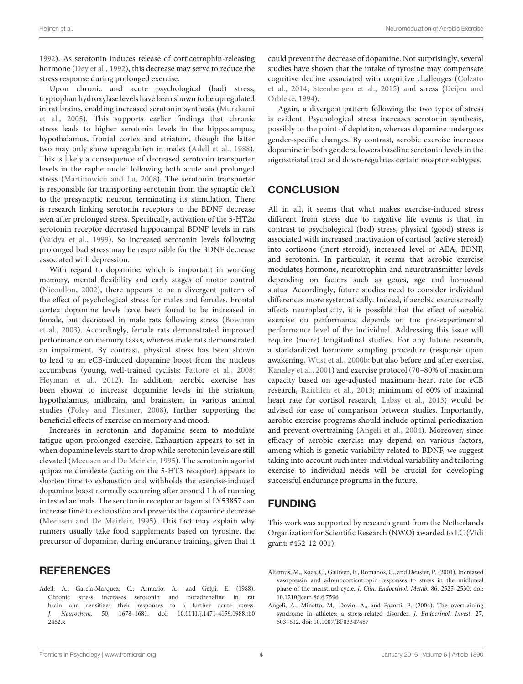[1992\)](#page-4-30). As serotonin induces release of corticotrophin-releasing hormone [\(Dey et al., 1992\)](#page-4-30), this decrease may serve to reduce the stress response during prolonged exercise.

Upon chronic and acute psychological (bad) stress, tryptophan hydroxylase levels have been shown to be upregulated in rat brains, enabling increased serotonin synthesis (Murakami et al., [2005\)](#page-5-10). This supports earlier findings that chronic stress leads to higher serotonin levels in the hippocampus, hypothalamus, frontal cortex and striatum, though the latter two may only show upregulation in males [\(Adell et al., 1988\)](#page-3-1). This is likely a consequence of decreased serotonin transporter levels in the raphe nuclei following both acute and prolonged stress [\(Martinowich and Lu, 2008\)](#page-5-11). The serotonin transporter is responsible for transporting serotonin from the synaptic cleft to the presynaptic neuron, terminating its stimulation. There is research linking serotonin receptors to the BDNF decrease seen after prolonged stress. Specifically, activation of the 5-HT2a serotonin receptor decreased hippocampal BDNF levels in rats [\(Vaidya et al., 1999\)](#page-5-16). So increased serotonin levels following prolonged bad stress may be responsible for the BDNF decrease associated with depression.

With regard to dopamine, which is important in working memory, mental flexibility and early stages of motor control [\(Nieoullon, 2002\)](#page-5-17), there appears to be a divergent pattern of the effect of psychological stress for males and females. Frontal cortex dopamine levels have been found to be increased in female, but decreased in male rats following stress (Bowman et al., [2003\)](#page-4-31). Accordingly, female rats demonstrated improved performance on memory tasks, whereas male rats demonstrated an impairment. By contrast, physical stress has been shown to lead to an eCB-induced dopamine boost from the nucleus accumbens (young, well-trained cyclists: [Fattore et al., 2008;](#page-4-32) [Heyman et al., 2012\)](#page-4-19). In addition, aerobic exercise has been shown to increase dopamine levels in the striatum, hypothalamus, midbrain, and brainstem in various animal studies [\(Foley and Fleshner, 2008\)](#page-4-33), further supporting the beneficial effects of exercise on memory and mood.

Increases in serotonin and dopamine seem to modulate fatigue upon prolonged exercise. Exhaustion appears to set in when dopamine levels start to drop while serotonin levels are still elevated [\(Meeusen and De Meirleir, 1995\)](#page-5-15). The serotonin agonist quipazine dimaleate (acting on the 5-HT3 receptor) appears to shorten time to exhaustion and withholds the exercise-induced dopamine boost normally occurring after around 1 h of running in tested animals. The serotonin receptor antagonist LY53857 can increase time to exhaustion and prevents the dopamine decrease [\(Meeusen and De Meirleir, 1995\)](#page-5-15). This fact may explain why runners usually take food supplements based on tyrosine, the precursor of dopamine, during endurance training, given that it

### **REFERENCES**

<span id="page-3-1"></span>Adell, A., Garcia-Marquez, C., Armario, A., and Gelpi, E. (1988). Chronic stress increases serotonin and noradrenaline in rat brain and sensitizes their responses to a further acute stress. J. Neurochem. 50, 1678–1681. doi: 10.1111/j.1471-4159.1988.tb0 2462.x

could prevent the decrease of dopamine. Not surprisingly, several studies have shown that the intake of tyrosine may compensate cognitive decline associated with cognitive challenges (Colzato et al., [2014;](#page-4-34) [Steenbergen et al., 2015\)](#page-5-18) and stress (Deijen and Orbleke, [1994\)](#page-4-35).

Again, a divergent pattern following the two types of stress is evident. Psychological stress increases serotonin synthesis, possibly to the point of depletion, whereas dopamine undergoes gender-specific changes. By contrast, aerobic exercise increases dopamine in both genders, lowers baseline serotonin levels in the nigrostriatal tract and down-regulates certain receptor subtypes.

# **CONCLUSION**

All in all, it seems that what makes exercise-induced stress different from stress due to negative life events is that, in contrast to psychological (bad) stress, physical (good) stress is associated with increased inactivation of cortisol (active steroid) into cortisone (inert steroid), increased level of AEA, BDNF, and serotonin. In particular, it seems that aerobic exercise modulates hormone, neurotrophin and neurotransmitter levels depending on factors such as genes, age and hormonal status. Accordingly, future studies need to consider individual differences more systematically. Indeed, if aerobic exercise really affects neuroplasticity, it is possible that the effect of aerobic exercise on performance depends on the pre-experimental performance level of the individual. Addressing this issue will require (more) longitudinal studies. For any future research, a standardized hormone sampling procedure (response upon awakening, [Wüst et al., 2000b;](#page-5-4) but also before and after exercise, [Kanaley et al., 2001\)](#page-4-36) and exercise protocol (70–80% of maximum capacity based on age-adjusted maximum heart rate for eCB research, [Raichlen et al., 2013;](#page-5-7) minimum of 60% of maximal heart rate for cortisol research, [Labsy et al., 2013\)](#page-4-10) would be advised for ease of comparison between studies. Importantly, aerobic exercise programs should include optimal periodization and prevent overtraining [\(Angeli et al., 2004\)](#page-3-2). Moreover, since efficacy of aerobic exercise may depend on various factors, among which is genetic variability related to BDNF, we suggest taking into account such inter-individual variability and tailoring exercise to individual needs will be crucial for developing successful endurance programs in the future.

### FUNDING

This work was supported by research grant from the Netherlands Organization for Scientific Research (NWO) awarded to LC (Vidi grant: #452-12-001).

- <span id="page-3-0"></span>Altemus, M., Roca, C., Galliven, E., Romanos, C., and Deuster, P. (2001). Increased vasopressin and adrenocorticotropin responses to stress in the midluteal phase of the menstrual cycle. J. Clin. Endocrinol. Metab. 86, 2525–2530. doi: 10.1210/jcem.86.6.7596
- <span id="page-3-2"></span>Angeli, A., Minetto, M., Dovio, A., and Pacotti, P. (2004). The overtraining syndrome in athletes: a stress-related disorder. J. Endocrinol. Invest. 27, 603–612. doi: 10.1007/BF03347487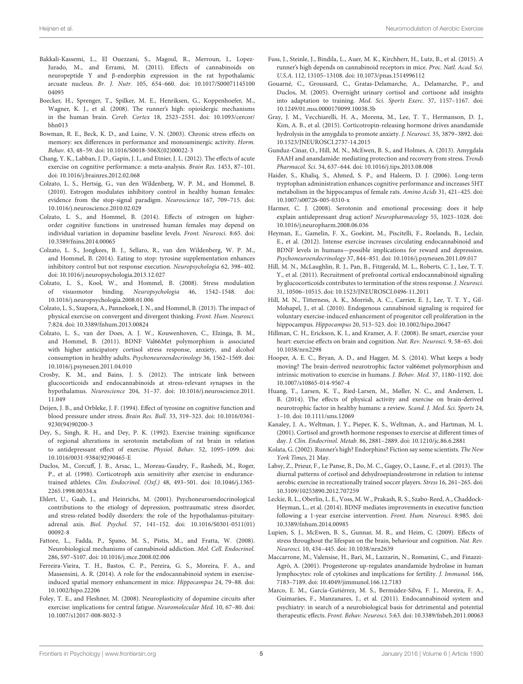- <span id="page-4-16"></span>Bakkali-Kassemi, L., El Ouezzani, S., Magoul, R., Merroun, I., Lopez-Jurado, M., and Errami, M. (2011). Effects of cannabinoids on neuropeptide Y and β-endorphin expression in the rat hypothalamic arcuate nucleus. Br. J. Nutr. 105, 654–660. doi: 10.1017/S00071145100 04095
- <span id="page-4-13"></span>Boecker, H., Sprenger, T., Spilker, M. E., Henriksen, G., Koppenhoefer, M., Wagner, K. J., et al. (2008). The runner's high: opioidergic mechanisms in the human brain. Cereb. Cortex 18, 2523–2531. doi: 10.1093/cercor/ bhn013
- <span id="page-4-31"></span>Bowman, R. E., Beck, K. D., and Luine, V. N. (2003). Chronic stress effects on memory: sex differences in performance and monoaminergic activity. Horm. Behav. 43, 48–59. doi: 10.1016/S0018-506X(02)00022-3
- <span id="page-4-3"></span>Chang, Y. K., Labban, J. D., Gapin, J. I., and Etnier, J. L. (2012). The effects of acute exercise on cognitive performance: a meta-analysis. Brain Res. 1453, 87–101. doi: 10.1016/j.brainres.2012.02.068
- <span id="page-4-24"></span>Colzato, L. S., Hertsig, G., van den Wildenberg, W. P. M., and Hommel, B. (2010). Estrogen modulates inhibitory control in healthy human females: evidence from the stop-signal paradigm. Neuroscience 167, 709–715. doi: 10.1016/j.neuroscience.2010.02.029
- <span id="page-4-25"></span>Colzato, L. S., and Hommel, B. (2014). Effects of estrogen on higherorder cognitive functions in unstressed human females may depend on individual variation in dopamine baseline levels. Front. Neurosci. 8:65. doi: 10.3389/fnins.2014.00065
- <span id="page-4-34"></span>Colzato, L. S., Jongkees, B. J., Sellaro, R., van den Wildenberg, W. P. M., and Hommel, B. (2014). Eating to stop: tyrosine supplementation enhances inhibitory control but not response execution. Neuropsychologia 62, 398–402. doi: 10.1016/j.neuropsychologia.2013.12.027
- <span id="page-4-5"></span>Colzato, L. S., Kool, W., and Hommel, B. (2008). Stress modulation of visuomotor binding. Neuropsychologia 46, 1542–1548. doi: 10.1016/j.neuropsychologia.2008.01.006
- <span id="page-4-4"></span>Colzato, L. S., Szapora, A., Pannekoek, J. N., and Hommel, B. (2013). The impact of physical exercise on convergent and divergent thinking. Front. Hum. Neurosci. 7:824. doi: 10.3389/fnhum.2013.00824
- <span id="page-4-26"></span>Colzato, L. S., van der Does, A. J. W., Kouwenhoven, C., Elzinga, B. M., and Hommel, B. (2011). BDNF Val66Met polymorphism is associated with higher anticipatory cortisol stress response, anxiety, and alcohol consumption in healthy adults. Psychoneuroendocrinology 36, 1562–1569. doi: 10.1016/j.psyneuen.2011.04.010
- <span id="page-4-7"></span>Crosby, K. M., and Bains, J. S. (2012). The intricate link between glucocorticoids and endocannabinoids at stress-relevant synapses in the hypothalamus. Neuroscience 204, 31–37. doi: 10.1016/j.neuroscience.2011. 11.049
- <span id="page-4-35"></span>Deijen, J. B., and Orbleke, J. F. (1994). Effect of tyrosine on cognitive function and blood pressure under stress. Brain Res. Bull. 33, 319–323. doi: 10.1016/0361- 9230(94)90200-3
- <span id="page-4-30"></span>Dey, S., Singh, R. H., and Dey, P. K. (1992). Exercise training: significance of regional alterations in serotonin metabolism of rat brain in relation to antidepressant effect of exercise. Physiol. Behav. 52, 1095–1099. doi: 10.1016/0031-9384(92)90465-E
- <span id="page-4-0"></span>Duclos, M., Corcuff, J. B., Arsac, L., Moreau-Gaudry, F., Rashedi, M., Roger, P., et al. (1998). Corticotroph axis sensitivity after exercise in endurancetrained athletes. Clin. Endocrinol. (Oxf.) 48, 493–501. doi: 10.1046/j.1365- 2265.1998.00334x
- <span id="page-4-12"></span>Ehlert, U., Gaab, J., and Heinrichs, M. (2001). Psychoneuroendocrinological contributions to the etiology of depression, posttraumatic stress disorder, and stress-related bodily disorders: the role of the hypothalamus-pituitaryadrenal axis. Biol. Psychol. 57, 141–152. doi: 10.1016/S0301-0511(01) 00092-8
- <span id="page-4-32"></span>Fattore, L., Fadda, P., Spano, M. S., Pistis, M., and Fratta, W. (2008). Neurobiological mechanisms of cannabinoid addiction. Mol. Cell. Endocrinol. 286, S97–S107. doi: 10.1016/j.mce.2008.02.006
- <span id="page-4-18"></span>Ferreira-Vieira, T. H., Bastos, C. P., Pereira, G. S., Moreira, F. A., and Massensini, A. R. (2014). A role for the endocannabinoid system in exerciseinduced spatial memory enhancement in mice. Hippocampus 24, 79–88. doi: 10.1002/hipo.22206
- <span id="page-4-33"></span>Foley, T. E., and Fleshner, M. (2008). Neuroplasticity of dopamine circuits after exercise: implications for central fatigue. Neuromolecular Med. 10, 67–80. doi: 10.1007/s12017-008-8032-3
- <span id="page-4-15"></span>Fuss, J., Steinle, J., Bindila, L., Auer, M. K., Kirchherr, H., Lutz, B., et al. (2015). A runner's high depends on cannabinoid receptors in mice. Proc. Natl. Acad. Sci. U.S.A. 112, 13105–13108. doi: 10.1073/pnas.1514996112
- <span id="page-4-11"></span>Gouarné, C., Groussard, C., Gratas-Delamarche, A., Delamarche, P., and Duclos, M. (2005). Overnight urinary cortisol and cortisone add insights into adaptation to training. Med. Sci. Sports Exerc. 37, 1157–1167. doi: 10.1249/01.mss.0000170099.10038.3b
- <span id="page-4-9"></span>Gray, J. M., Vecchiarelli, H. A., Morena, M., Lee, T. T., Hermanson, D. J., Kim, A. B., et al. (2015). Corticotropin-releasing hormone drives anandamide hydrolysis in the amygdala to promote anxiety. J. Neurosci. 35, 3879–3892. doi: 10.1523/JNEUROSCI.2737-14.2015
- <span id="page-4-17"></span>Gunduz-Cinar, O., Hill, M. N., McEwen, B. S., and Holmes, A. (2013). Amygdala FAAH and anandamide: mediating protection and recovery from stress. Trends Pharmacol. Sci. 34, 637–644. doi: 10.1016/j.tips.2013.08.008
- <span id="page-4-29"></span>Haider, S., Khaliq, S., Ahmed, S. P., and Haleem, D. J. (2006). Long-term tryptophan administration enhances cognitive performance and increases 5HT metabolism in the hippocampus of female rats. Amino Acids 31, 421–425. doi: 10.1007/s00726-005-0310-x
- <span id="page-4-28"></span>Harmer, C. J. (2008). Serotonin and emotional processing: does it help explain antidepressant drug action? Neuropharmacology 55, 1023–1028. doi: 10.1016/j.neuropharm.2008.06.036
- <span id="page-4-19"></span>Heyman, E., Gamelin, F. X., Goekint, M., Piscitelli, F., Roelands, B., Leclair, E., et al. (2012). Intense exercise increases circulating endocannabinoid and BDNF levels in humans—possible implications for reward and depression. Psychoneuroendocrinology 37, 844–851. doi: 10.1016/j.psyneuen.2011.09.017
- <span id="page-4-8"></span>Hill, M. N., McLaughlin, R. J., Pan, B., Fitzgerald, M. L., Roberts, C. J., Lee, T. T. Y., et al. (2011). Recruitment of prefrontal cortical endocannabinoid signaling by glucocorticoids contributes to termination of the stress response. J. Neurosci. 31, 10506–10515. doi: 10.1523/JNEUROSCI.0496-11.2011
- <span id="page-4-20"></span>Hill, M. N., Titterness, A. K., Morrish, A. C., Carrier, E. J., Lee, T. T. Y., Gil-Mohapel, J., et al. (2010). Endogenous cannabinoid signaling is required for voluntary exercise-induced enhancement of progenitor cell proliferation in the hippocampus. Hippocampus 20, 513–523. doi: 10.1002/hipo.20647
- <span id="page-4-2"></span>Hillman, C. H., Erickson, K. I., and Kramer, A. F. (2008). Be smart, exercise your heart: exercise effects on brain and cognition. Nat. Rev. Neurosci. 9, 58–65. doi: 10.1038/nrn2298
- <span id="page-4-27"></span>Hooper, A. E. C., Bryan, A. D., and Hagger, M. S. (2014). What keeps a body moving? The brain-derived neurotrophic factor val66met polymorphism and intrinsic motivation to exercise in humans. J. Behav. Med. 37, 1180–1192. doi: 10.1007/s10865-014-9567-4
- <span id="page-4-22"></span>Huang, T., Larsen, K. T., Ried-Larsen, M., Møller, N. C., and Andersen, L. B. (2014). The effects of physical activity and exercise on brain-derived neurotrophic factor in healthy humans: a review. Scand. J. Med. Sci. Sports 24, 1–10. doi: 10.1111/sms.12069
- <span id="page-4-36"></span>Kanaley, J. A., Weltman, J. Y., Pieper, K. S., Weltman, A., and Hartman, M. L. (2001). Cortisol and growth hormone responses to exercise at different times of day. J. Clin. Endocrinol. Metab. 86, 2881–2889. doi: 10.1210/jc.86.6.2881
- <span id="page-4-14"></span>Kolata, G. (2002). Runner's high? Endorphins? Fiction say some scientists. The New York Times, 21 May.
- <span id="page-4-10"></span>Labsy, Z., Prieur, F., Le Panse, B., Do, M. C., Gagey, O., Lasne, F., et al. (2013). The diurnal patterns of cortisol and dehydroepiandrosterone in relation to intense aerobic exercise in recreationally trained soccer players. Stress 16, 261–265. doi: 10.3109/10253890.2012.707259
- <span id="page-4-21"></span>Leckie, R. L., Oberlin, L. E., Voss, M. W., Prakash, R. S., Szabo-Reed, A., Chaddock-Heyman, L., et al. (2014). BDNF mediates improvements in executive function following a 1-year exercise intervention. Front. Hum. Neurosci. 8:985. doi: 10.3389/fnhum.2014.00985
- <span id="page-4-6"></span>Lupien, S. J., McEwen, B. S., Gunnar, M. R., and Heim, C. (2009). Effects of stress throughout the lifespan on the brain, behaviour and cognition. Nat. Rev. Neurosci. 10, 434–445. doi: 10.1038/nrn2639
- <span id="page-4-23"></span>Maccarrone, M., Valensise, H., Bari, M., Lazzarin, N., Romanini, C., and Finazzi-Agrò, A. (2001). Progesterone up-regulates anandamide hydrolase in human lymphocytes: role of cytokines and implications for fertility. J. Immunol. 166, 7183–7189. doi: 10.4049/jimmunol.166.12.7183
- <span id="page-4-1"></span>Marco, E. M., García-Gutiérrez, M. S., Bermúdez-Silva, F. J., Moreira, F. A., Guimarães, F., Manzanares, J., et al. (2011). Endocannabinoid system and psychiatry: in search of a neurobiological basis for detrimental and potential therapeutic effects. Front. Behav. Neurosci. 5:63. doi: 10.3389/fnbeh.2011.00063